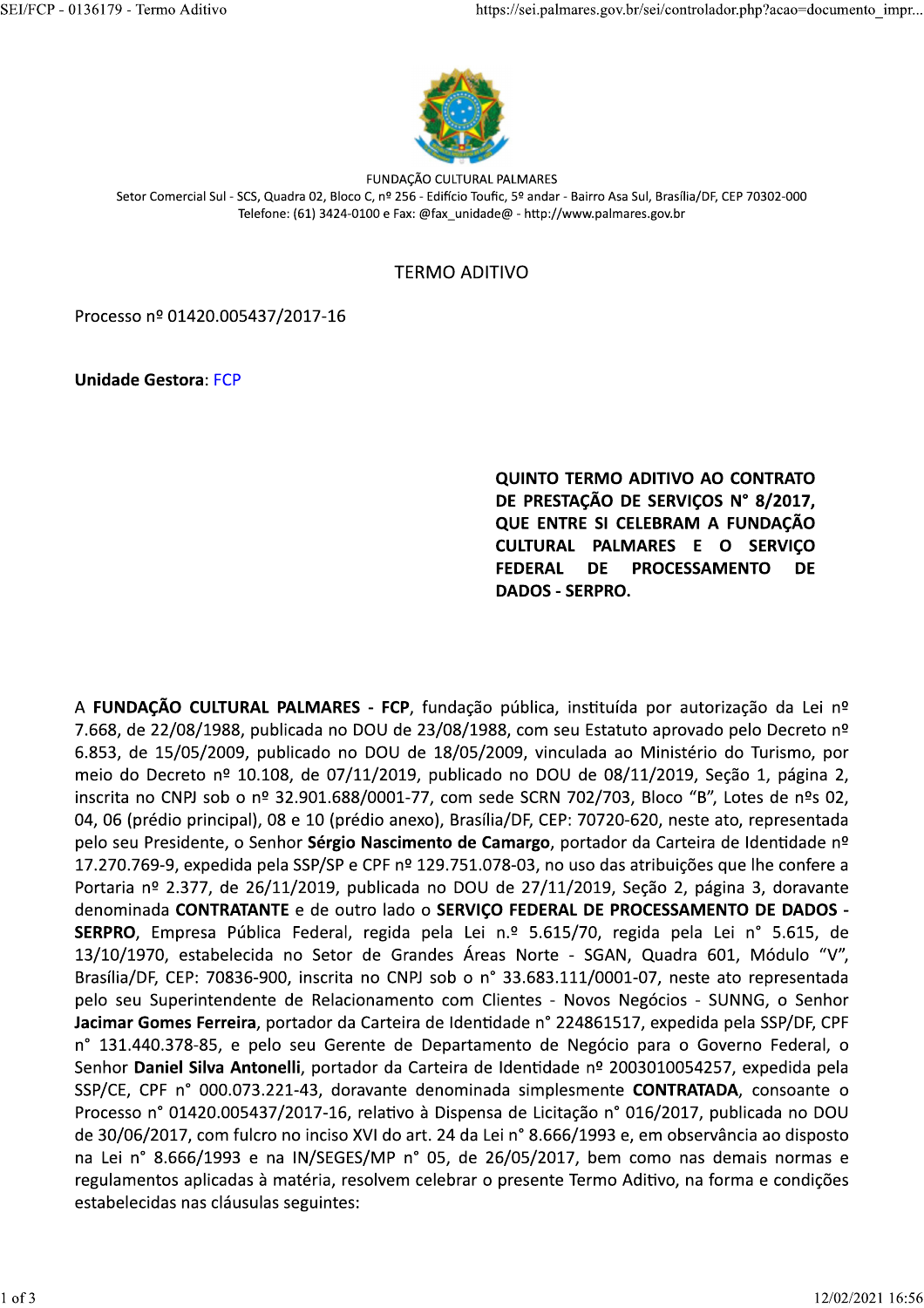

FUNDAÇÃO CULTURAL PALMARES Setor Comercial Sul - SCS, Quadra 02, Bloco C, nº 256 - Edifício Toufic, 5º andar - Bairro Asa Sul, Brasília/DF, CEP 70302-000 Telefone: (61) 3424-0100 e Fax: @fax\_unidade@ - http://www.palmares.gov.br

# **TERMO ADITIVO**

Processo nº 01420.005437/2017-16

**Unidade Gestora: FCP** 

QUINTO TERMO ADITIVO AO CONTRATO DE PRESTAÇÃO DE SERVIÇOS Nº 8/2017, QUE ENTRE SI CELEBRAM A FUNDAÇÃO CULTURAL PALMARES E O SERVIÇO **FEDERAL DE PROCESSAMENTO DE DADOS - SERPRO.** 

A FUNDAÇÃO CULTURAL PALMARES - FCP, fundação pública, instituída por autorização da Lei nº 7.668, de 22/08/1988, publicada no DOU de 23/08/1988, com seu Estatuto aprovado pelo Decreto nº 6.853, de 15/05/2009, publicado no DOU de 18/05/2009, vinculada ao Ministério do Turismo, por meio do Decreto nº 10.108, de 07/11/2019, publicado no DOU de 08/11/2019, Secão 1, página 2, inscrita no CNPJ sob o nº 32.901.688/0001-77, com sede SCRN 702/703, Bloco "B", Lotes de nºs 02, 04, 06 (prédio principal), 08 e 10 (prédio anexo), Brasília/DF, CEP: 70720-620, neste ato, representada pelo seu Presidente, o Senhor Sérgio Nascimento de Camargo, portador da Carteira de Identidade nº 17.270.769-9, expedida pela SSP/SP e CPF nº 129.751.078-03, no uso das atribuições que lhe confere a Portaria nº 2.377, de 26/11/2019, publicada no DOU de 27/11/2019, Seção 2, página 3, doravante denominada CONTRATANTE e de outro lado o SERVICO FEDERAL DE PROCESSAMENTO DE DADOS -SERPRO, Empresa Pública Federal, regida pela Lei n.º 5.615/70, regida pela Lei nº 5.615, de 13/10/1970, estabelecida no Setor de Grandes Áreas Norte - SGAN, Quadra 601, Módulo "V", Brasília/DF, CEP: 70836-900, inscrita no CNPJ sob o n° 33.683.111/0001-07, neste ato representada pelo seu Superintendente de Relacionamento com Clientes - Novos Negócios - SUNNG, o Senhor Jacimar Gomes Ferreira, portador da Carteira de Identidade nº 224861517, expedida pela SSP/DF, CPF n° 131.440.378-85, e pelo seu Gerente de Departamento de Negócio para o Governo Federal, o Senhor Daniel Silva Antonelli, portador da Carteira de Identidade nº 2003010054257, expedida pela SSP/CE, CPF n° 000.073.221-43, doravante denominada simplesmente CONTRATADA, consoante o Processo nº 01420.005437/2017-16, relativo à Dispensa de Licitação nº 016/2017, publicada no DOU de 30/06/2017, com fulcro no inciso XVI do art. 24 da Lei nº 8.666/1993 e, em observância ao disposto na Lei nº 8.666/1993 e na IN/SEGES/MP nº 05, de 26/05/2017, bem como nas demais normas e regulamentos aplicadas à matéria, resolvem celebrar o presente Termo Aditivo, na forma e condições estabelecidas nas cláusulas seguintes: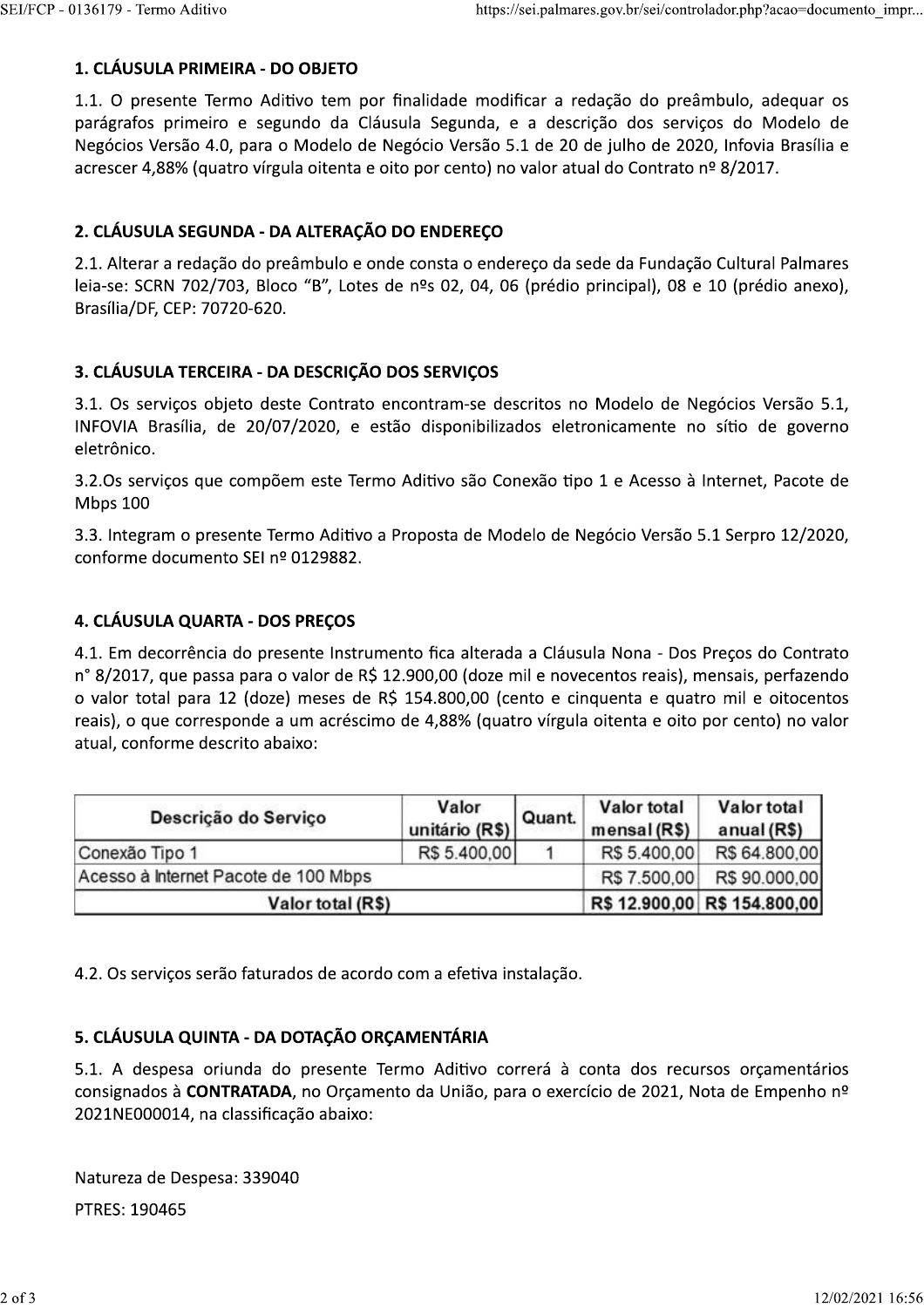#### 1. CLÁUSULA PRIMEIRA - DO OBJETO

1.1. O presente Termo Aditivo tem por finalidade modificar a redação do preâmbulo, adequar os parágrafos primeiro e segundo da Cláusula Segunda, e a descrição dos serviços do Modelo de Negócios Versão 4.0, para o Modelo de Negócio Versão 5.1 de 20 de julho de 2020, Infovia Brasília e acrescer 4,88% (quatro vírgula oitenta e oito por cento) no valor atual do Contrato nº 8/2017.

#### 2. CLÁUSULA SEGUNDA - DA ALTERAÇÃO DO ENDEREÇO

2.1. Alterar a redação do preâmbulo e onde consta o endereço da sede da Fundação Cultural Palmares leia-se: SCRN 702/703, Bloco "B", Lotes de nºs 02, 04, 06 (prédio principal), 08 e 10 (prédio anexo), Brasília/DF, CEP: 70720-620.

## 3. CLÁUSULA TERCEIRA - DA DESCRIÇÃO DOS SERVIÇOS

3.1. Os serviços objeto deste Contrato encontram-se descritos no Modelo de Negócios Versão 5.1, INFOVIA Brasília, de 20/07/2020, e estão disponibilizados eletronicamente no sítio de governo eletrônico.

3.2.0s serviços que compõem este Termo Aditivo são Conexão tipo 1 e Acesso à Internet, Pacote de **Mbps 100** 

3.3. Integram o presente Termo Aditivo a Proposta de Modelo de Negócio Versão 5.1 Serpro 12/2020, conforme documento SEI nº 0129882.

#### 4. CLÁUSULA QUARTA - DOS PREÇOS

4.1. Em decorrência do presente Instrumento fica alterada a Cláusula Nona - Dos Preços do Contrato n° 8/2017, que passa para o valor de R\$ 12.900,00 (doze mil e novecentos reais), mensais, perfazendo o valor total para 12 (doze) meses de R\$ 154.800,00 (cento e cinquenta e quatro mil e oitocentos reais), o que corresponde a um acréscimo de 4,88% (quatro vírgula oitenta e oito por cento) no valor atual, conforme descrito abaixo:

| Descrição do Serviço                 | Valor<br>unitário (R\$) | Quant. | Valor total<br>mensal $(R$)$ | Valor total<br>anual (R\$)   |
|--------------------------------------|-------------------------|--------|------------------------------|------------------------------|
| Conexão Tipo 1                       | R\$ 5.400,00            |        | R\$ 5.400,00                 | R\$ 64.800,00                |
| Acesso à Internet Pacote de 100 Mbps |                         |        | R\$ 7.500,00                 | R\$ 90.000,00                |
| Valor total (R\$)                    |                         |        |                              | R\$ 12.900,00 R\$ 154.800,00 |

4.2. Os serviços serão faturados de acordo com a efetiva instalação.

## 5. CLÁUSULA QUINTA - DA DOTAÇÃO ORÇAMENTÁRIA

5.1. A despesa oriunda do presente Termo Aditivo correrá à conta dos recursos orçamentários consignados à CONTRATADA, no Orçamento da União, para o exercício de 2021, Nota de Empenho nº 2021NE000014, na classificação abaixo:

Natureza de Despesa: 339040 PTRES: 190465